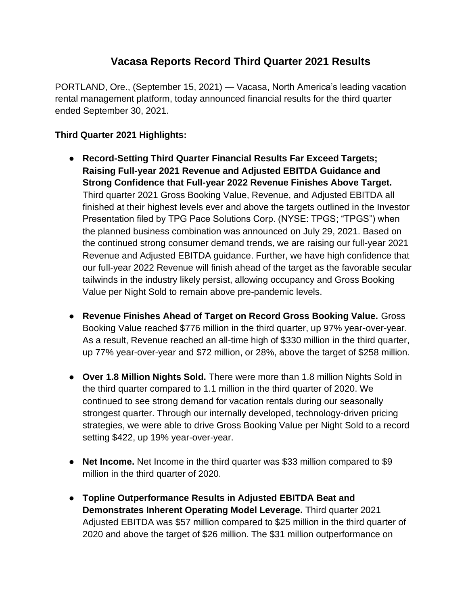# **Vacasa Reports Record Third Quarter 2021 Results**

PORTLAND, Ore., (September 15, 2021) — Vacasa, North America's leading vacation rental management platform, today announced financial results for the third quarter ended September 30, 2021.

# **Third Quarter 2021 Highlights:**

- **Record-Setting Third Quarter Financial Results Far Exceed Targets; Raising Full-year 2021 Revenue and Adjusted EBITDA Guidance and Strong Confidence that Full-year 2022 Revenue Finishes Above Target.** Third quarter 2021 Gross Booking Value, Revenue, and Adjusted EBITDA all finished at their highest levels ever and above the targets outlined in the Investor Presentation filed by TPG Pace Solutions Corp. (NYSE: TPGS; "TPGS") when the planned business combination was announced on July 29, 2021. Based on the continued strong consumer demand trends, we are raising our full-year 2021 Revenue and Adjusted EBITDA guidance. Further, we have high confidence that our full-year 2022 Revenue will finish ahead of the target as the favorable secular tailwinds in the industry likely persist, allowing occupancy and Gross Booking Value per Night Sold to remain above pre-pandemic levels.
- **Revenue Finishes Ahead of Target on Record Gross Booking Value.** Gross Booking Value reached \$776 million in the third quarter, up 97% year-over-year. As a result, Revenue reached an all-time high of \$330 million in the third quarter, up 77% year-over-year and \$72 million, or 28%, above the target of \$258 million.
- **Over 1.8 Million Nights Sold.** There were more than 1.8 million Nights Sold in the third quarter compared to 1.1 million in the third quarter of 2020. We continued to see strong demand for vacation rentals during our seasonally strongest quarter. Through our internally developed, technology-driven pricing strategies, we were able to drive Gross Booking Value per Night Sold to a record setting \$422, up 19% year-over-year.
- **Net Income.** Net Income in the third quarter was \$33 million compared to \$9 million in the third quarter of 2020.
- **Topline Outperformance Results in Adjusted EBITDA Beat and Demonstrates Inherent Operating Model Leverage.** Third quarter 2021 Adjusted EBITDA was \$57 million compared to \$25 million in the third quarter of 2020 and above the target of \$26 million. The \$31 million outperformance on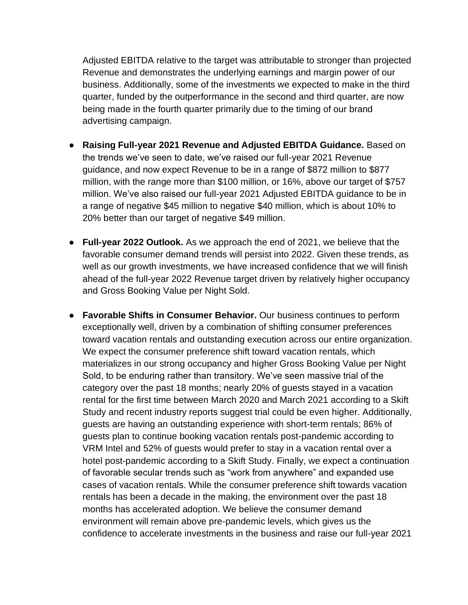Adjusted EBITDA relative to the target was attributable to stronger than projected Revenue and demonstrates the underlying earnings and margin power of our business. Additionally, some of the investments we expected to make in the third quarter, funded by the outperformance in the second and third quarter, are now being made in the fourth quarter primarily due to the timing of our brand advertising campaign.

- **Raising Full-year 2021 Revenue and Adjusted EBITDA Guidance.** Based on the trends we've seen to date, we've raised our full-year 2021 Revenue guidance, and now expect Revenue to be in a range of \$872 million to \$877 million, with the range more than \$100 million, or 16%, above our target of \$757 million. We've also raised our full-year 2021 Adjusted EBITDA guidance to be in a range of negative \$45 million to negative \$40 million, which is about 10% to 20% better than our target of negative \$49 million.
- **Full-year 2022 Outlook.** As we approach the end of 2021, we believe that the favorable consumer demand trends will persist into 2022. Given these trends, as well as our growth investments, we have increased confidence that we will finish ahead of the full-year 2022 Revenue target driven by relatively higher occupancy and Gross Booking Value per Night Sold.
- **Favorable Shifts in Consumer Behavior.** Our business continues to perform exceptionally well, driven by a combination of shifting consumer preferences toward vacation rentals and outstanding execution across our entire organization. We expect the consumer preference shift toward vacation rentals, which materializes in our strong occupancy and higher Gross Booking Value per Night Sold, to be enduring rather than transitory. We've seen massive trial of the category over the past 18 months; nearly 20% of guests stayed in a vacation rental for the first time between March 2020 and March 2021 according to a Skift Study and recent industry reports suggest trial could be even higher. Additionally, guests are having an outstanding experience with short-term rentals; 86% of guests plan to continue booking vacation rentals post-pandemic according to VRM Intel and 52% of guests would prefer to stay in a vacation rental over a hotel post-pandemic according to a Skift Study. Finally, we expect a continuation of favorable secular trends such as "work from anywhere" and expanded use cases of vacation rentals. While the consumer preference shift towards vacation rentals has been a decade in the making, the environment over the past 18 months has accelerated adoption. We believe the consumer demand environment will remain above pre-pandemic levels, which gives us the confidence to accelerate investments in the business and raise our full-year 2021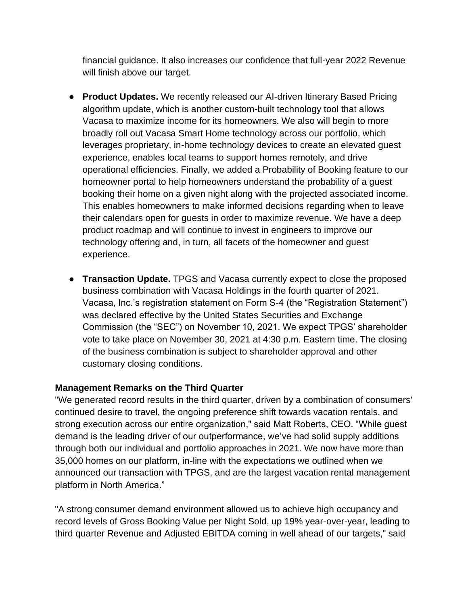financial guidance. It also increases our confidence that full-year 2022 Revenue will finish above our target.

- **Product Updates.** We recently released our AI-driven Itinerary Based Pricing algorithm update, which is another custom-built technology tool that allows Vacasa to maximize income for its homeowners. We also will begin to more broadly roll out Vacasa Smart Home technology across our portfolio, which leverages proprietary, in-home technology devices to create an elevated guest experience, enables local teams to support homes remotely, and drive operational efficiencies. Finally, we added a Probability of Booking feature to our homeowner portal to help homeowners understand the probability of a guest booking their home on a given night along with the projected associated income. This enables homeowners to make informed decisions regarding when to leave their calendars open for guests in order to maximize revenue. We have a deep product roadmap and will continue to invest in engineers to improve our technology offering and, in turn, all facets of the homeowner and guest experience.
- **Transaction Update.** TPGS and Vacasa currently expect to close the proposed business combination with Vacasa Holdings in the fourth quarter of 2021. Vacasa, Inc.'s registration statement on Form S-4 (the "Registration Statement") was declared effective by the United States Securities and Exchange Commission (the "SEC") on November 10, 2021. We expect TPGS' shareholder vote to take place on November 30, 2021 at 4:30 p.m. Eastern time. The closing of the business combination is subject to shareholder approval and other customary closing conditions.

# **Management Remarks on the Third Quarter**

"We generated record results in the third quarter, driven by a combination of consumers' continued desire to travel, the ongoing preference shift towards vacation rentals, and strong execution across our entire organization," said Matt Roberts, CEO. "While guest demand is the leading driver of our outperformance, we've had solid supply additions through both our individual and portfolio approaches in 2021. We now have more than 35,000 homes on our platform, in-line with the expectations we outlined when we announced our transaction with TPGS, and are the largest vacation rental management platform in North America."

"A strong consumer demand environment allowed us to achieve high occupancy and record levels of Gross Booking Value per Night Sold, up 19% year-over-year, leading to third quarter Revenue and Adjusted EBITDA coming in well ahead of our targets," said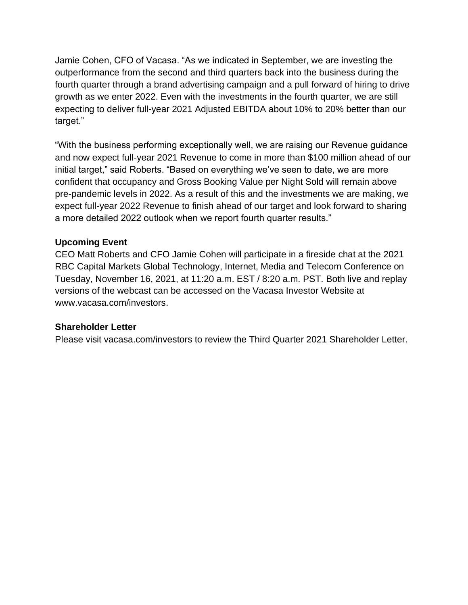Jamie Cohen, CFO of Vacasa. "As we indicated in September, we are investing the outperformance from the second and third quarters back into the business during the fourth quarter through a brand advertising campaign and a pull forward of hiring to drive growth as we enter 2022. Even with the investments in the fourth quarter, we are still expecting to deliver full-year 2021 Adjusted EBITDA about 10% to 20% better than our target."

"With the business performing exceptionally well, we are raising our Revenue guidance and now expect full-year 2021 Revenue to come in more than \$100 million ahead of our initial target," said Roberts. "Based on everything we've seen to date, we are more confident that occupancy and Gross Booking Value per Night Sold will remain above pre-pandemic levels in 2022. As a result of this and the investments we are making, we expect full-year 2022 Revenue to finish ahead of our target and look forward to sharing a more detailed 2022 outlook when we report fourth quarter results."

# **Upcoming Event**

CEO Matt Roberts and CFO Jamie Cohen will participate in a fireside chat at the 2021 RBC Capital Markets Global Technology, Internet, Media and Telecom Conference on Tuesday, November 16, 2021, at 11:20 a.m. EST / 8:20 a.m. PST. Both live and replay versions of the webcast can be accessed on the Vacasa Investor Website at www.vacasa.com/investors.

# **Shareholder Letter**

Please visit vacasa.com/investors to review the Third Quarter 2021 Shareholder Letter.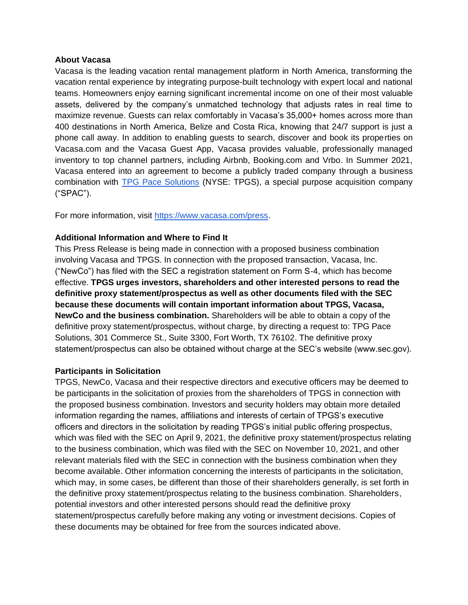#### **About Vacasa**

Vacasa is the leading vacation rental management platform in North America, transforming the vacation rental experience by integrating purpose-built technology with expert local and national teams. Homeowners enjoy earning significant incremental income on one of their most valuable assets, delivered by the company's unmatched technology that adjusts rates in real time to maximize revenue. Guests can relax comfortably in Vacasa's 35,000+ homes across more than 400 destinations in North America, Belize and Costa Rica, knowing that 24/7 support is just a phone call away. In addition to enabling guests to search, discover and book its properties on Vacasa.com and the Vacasa Guest App, Vacasa provides valuable, professionally managed inventory to top channel partners, including Airbnb, Booking.com and Vrbo. In Summer 2021, Vacasa entered into an agreement to become a publicly traded company through a business combination with [TPG Pace Solutions](https://www.tpg.com/pace-solutions) (NYSE: TPGS), a special purpose acquisition company ("SPAC").

For more information, visit [https://www.vacasa.com/press.](https://www.vacasa.com/press)

## **Additional Information and Where to Find It**

This Press Release is being made in connection with a proposed business combination involving Vacasa and TPGS. In connection with the proposed transaction, Vacasa, Inc. ("NewCo") has filed with the SEC a registration statement on Form S-4, which has become effective. **TPGS urges investors, shareholders and other interested persons to read the definitive proxy statement/prospectus as well as other documents filed with the SEC because these documents will contain important information about TPGS, Vacasa, NewCo and the business combination.** Shareholders will be able to obtain a copy of the definitive proxy statement/prospectus, without charge, by directing a request to: TPG Pace Solutions, 301 Commerce St., Suite 3300, Fort Worth, TX 76102. The definitive proxy statement/prospectus can also be obtained without charge at the SEC's website (www.sec.gov).

## **Participants in Solicitation**

TPGS, NewCo, Vacasa and their respective directors and executive officers may be deemed to be participants in the solicitation of proxies from the shareholders of TPGS in connection with the proposed business combination. Investors and security holders may obtain more detailed information regarding the names, affiliations and interests of certain of TPGS's executive officers and directors in the solicitation by reading TPGS's initial public offering prospectus, which was filed with the SEC on April 9, 2021, the definitive proxy statement/prospectus relating to the business combination, which was filed with the SEC on November 10, 2021, and other relevant materials filed with the SEC in connection with the business combination when they become available. Other information concerning the interests of participants in the solicitation, which may, in some cases, be different than those of their shareholders generally, is set forth in the definitive proxy statement/prospectus relating to the business combination. Shareholders, potential investors and other interested persons should read the definitive proxy statement/prospectus carefully before making any voting or investment decisions. Copies of these documents may be obtained for free from the sources indicated above.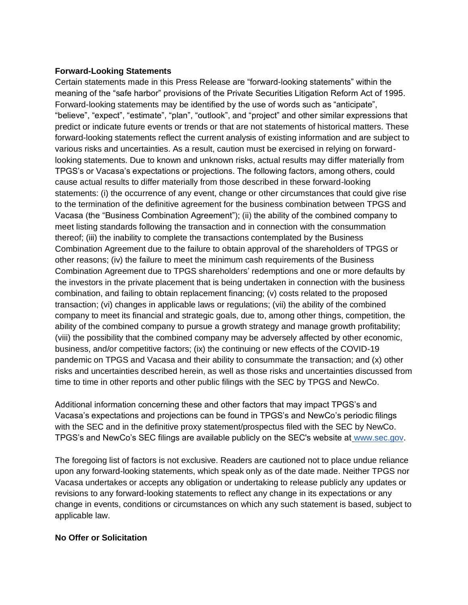## **Forward-Looking Statements**

Certain statements made in this Press Release are "forward-looking statements" within the meaning of the "safe harbor" provisions of the Private Securities Litigation Reform Act of 1995. Forward-looking statements may be identified by the use of words such as "anticipate", "believe", "expect", "estimate", "plan", "outlook", and "project" and other similar expressions that predict or indicate future events or trends or that are not statements of historical matters. These forward-looking statements reflect the current analysis of existing information and are subject to various risks and uncertainties. As a result, caution must be exercised in relying on forwardlooking statements. Due to known and unknown risks, actual results may differ materially from TPGS's or Vacasa's expectations or projections. The following factors, among others, could cause actual results to differ materially from those described in these forward-looking statements: (i) the occurrence of any event, change or other circumstances that could give rise to the termination of the definitive agreement for the business combination between TPGS and Vacasa (the "Business Combination Agreement"); (ii) the ability of the combined company to meet listing standards following the transaction and in connection with the consummation thereof; (iii) the inability to complete the transactions contemplated by the Business Combination Agreement due to the failure to obtain approval of the shareholders of TPGS or other reasons; (iv) the failure to meet the minimum cash requirements of the Business Combination Agreement due to TPGS shareholders' redemptions and one or more defaults by the investors in the private placement that is being undertaken in connection with the business combination, and failing to obtain replacement financing; (v) costs related to the proposed transaction; (vi) changes in applicable laws or regulations; (vii) the ability of the combined company to meet its financial and strategic goals, due to, among other things, competition, the ability of the combined company to pursue a growth strategy and manage growth profitability; (viii) the possibility that the combined company may be adversely affected by other economic, business, and/or competitive factors; (ix) the continuing or new effects of the COVID-19 pandemic on TPGS and Vacasa and their ability to consummate the transaction; and (x) other risks and uncertainties described herein, as well as those risks and uncertainties discussed from time to time in other reports and other public filings with the SEC by TPGS and NewCo.

Additional information concerning these and other factors that may impact TPGS's and Vacasa's expectations and projections can be found in TPGS's and NewCo's periodic filings with the SEC and in the definitive proxy statement/prospectus filed with the SEC by NewCo. TPGS's and NewCo's SEC filings are available publicly on the SEC's website a[t](http://www.sec.gov/) [www.sec.gov.](http://www.sec.gov/)

The foregoing list of factors is not exclusive. Readers are cautioned not to place undue reliance upon any forward-looking statements, which speak only as of the date made. Neither TPGS nor Vacasa undertakes or accepts any obligation or undertaking to release publicly any updates or revisions to any forward-looking statements to reflect any change in its expectations or any change in events, conditions or circumstances on which any such statement is based, subject to applicable law.

## **No Offer or Solicitation**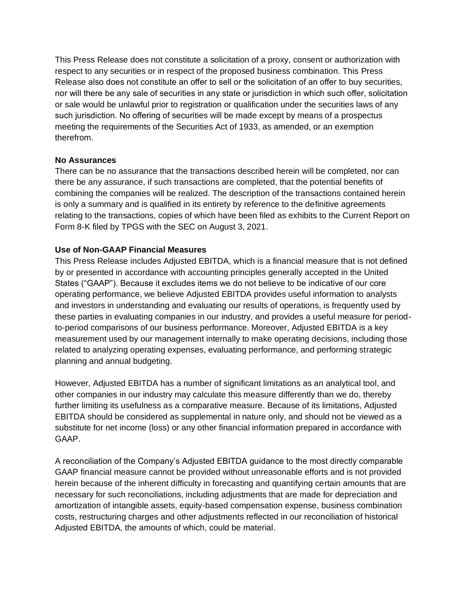This Press Release does not constitute a solicitation of a proxy, consent or authorization with respect to any securities or in respect of the proposed business combination. This Press Release also does not constitute an offer to sell or the solicitation of an offer to buy securities, nor will there be any sale of securities in any state or jurisdiction in which such offer, solicitation or sale would be unlawful prior to registration or qualification under the securities laws of any such jurisdiction. No offering of securities will be made except by means of a prospectus meeting the requirements of the Securities Act of 1933, as amended, or an exemption therefrom.

## **No Assurances**

There can be no assurance that the transactions described herein will be completed, nor can there be any assurance, if such transactions are completed, that the potential benefits of combining the companies will be realized. The description of the transactions contained herein is only a summary and is qualified in its entirety by reference to the definitive agreements relating to the transactions, copies of which have been filed as exhibits to the Current Report on Form 8-K filed by TPGS with the SEC on August 3, 2021.

## **Use of Non-GAAP Financial Measures**

This Press Release includes Adjusted EBITDA, which is a financial measure that is not defined by or presented in accordance with accounting principles generally accepted in the United States ("GAAP"). Because it excludes items we do not believe to be indicative of our core operating performance, we believe Adjusted EBITDA provides useful information to analysts and investors in understanding and evaluating our results of operations, is frequently used by these parties in evaluating companies in our industry, and provides a useful measure for periodto-period comparisons of our business performance. Moreover, Adjusted EBITDA is a key measurement used by our management internally to make operating decisions, including those related to analyzing operating expenses, evaluating performance, and performing strategic planning and annual budgeting.

However, Adjusted EBITDA has a number of significant limitations as an analytical tool, and other companies in our industry may calculate this measure differently than we do, thereby further limiting its usefulness as a comparative measure. Because of its limitations, Adjusted EBITDA should be considered as supplemental in nature only, and should not be viewed as a substitute for net income (loss) or any other financial information prepared in accordance with GAAP.

A reconciliation of the Company's Adjusted EBITDA guidance to the most directly comparable GAAP financial measure cannot be provided without unreasonable efforts and is not provided herein because of the inherent difficulty in forecasting and quantifying certain amounts that are necessary for such reconciliations, including adjustments that are made for depreciation and amortization of intangible assets, equity-based compensation expense, business combination costs, restructuring charges and other adjustments reflected in our reconciliation of historical Adjusted EBITDA, the amounts of which, could be material.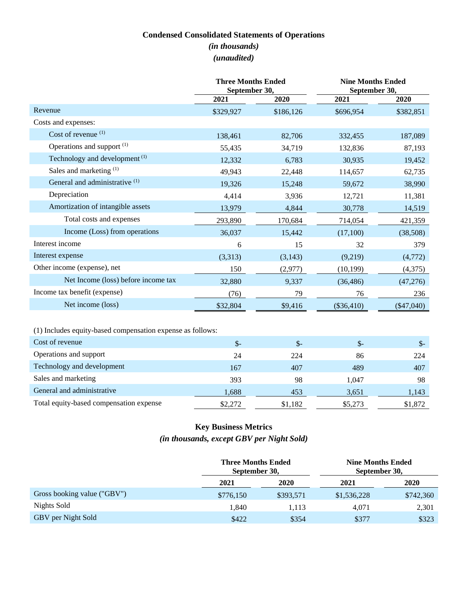## **Condensed Consolidated Statements of Operations**

# *(in thousands) (unaudited)*

|                                           | <b>Three Months Ended</b><br>September 30, |           | <b>Nine Months Ended</b><br>September 30, |              |
|-------------------------------------------|--------------------------------------------|-----------|-------------------------------------------|--------------|
|                                           | 2021                                       | 2020      | 2021                                      | 2020         |
| Revenue                                   | \$329,927                                  | \$186,126 | \$696,954                                 | \$382,851    |
| Costs and expenses:                       |                                            |           |                                           |              |
| Cost of revenue <sup>(1)</sup>            | 138,461                                    | 82,706    | 332,455                                   | 187,089      |
| Operations and support <sup>(1)</sup>     | 55,435                                     | 34,719    | 132,836                                   | 87,193       |
| Technology and development <sup>(1)</sup> | 12,332                                     | 6,783     | 30,935                                    | 19,452       |
| Sales and marketing (1)                   | 49,943                                     | 22,448    | 114,657                                   | 62,735       |
| General and administrative (1)            | 19,326                                     | 15,248    | 59,672                                    | 38,990       |
| Depreciation                              | 4,414                                      | 3,936     | 12,721                                    | 11,381       |
| Amortization of intangible assets         | 13,979                                     | 4,844     | 30,778                                    | 14,519       |
| Total costs and expenses                  | 293,890                                    | 170,684   | 714,054                                   | 421,359      |
| Income (Loss) from operations             | 36,037                                     | 15,442    | (17,100)                                  | (38,508)     |
| Interest income                           | 6                                          | 15        | 32                                        | 379          |
| Interest expense                          | (3,313)                                    | (3,143)   | (9,219)                                   | (4,772)      |
| Other income (expense), net               | 150                                        | (2,977)   | (10, 199)                                 | (4,375)      |
| Net Income (loss) before income tax       | 32,880                                     | 9,337     | (36, 486)                                 | (47,276)     |
| Income tax benefit (expense)              | (76)                                       | 79        | 76                                        | 236          |
| Net income (loss)                         | \$32,804                                   | \$9,416   | $(\$36,410)$                              | $(\$47,040)$ |

(1) Includes equity-based compensation expense as follows:

| Cost of revenue                         | $\mathcal{S}$ - | $S-$    | $S-$    | $S-$    |
|-----------------------------------------|-----------------|---------|---------|---------|
| Operations and support                  | 24              | 224     | 86      | 224     |
| Technology and development              | 167             | 407     | 489     | 407     |
| Sales and marketing                     | 393             | 98      | 1,047   | 98      |
| General and administrative              | 1,688           | 453     | 3,651   | 1,143   |
| Total equity-based compensation expense | \$2,272         | \$1,182 | \$5,273 | \$1,872 |

## **Key Business Metrics**  *(in thousands, except GBV per Night Sold)*

|                             | <b>Three Months Ended</b><br>September 30, |           | <b>Nine Months Ended</b><br>September 30, |           |
|-----------------------------|--------------------------------------------|-----------|-------------------------------------------|-----------|
|                             | 2021                                       | 2020      | 2021                                      | 2020      |
| Gross booking value ("GBV") | \$776,150                                  | \$393,571 | \$1,536,228                               | \$742,360 |
| Nights Sold                 | 1,840                                      | 1.113     | 4,071                                     | 2,301     |
| GBV per Night Sold          | \$422                                      | \$354     | \$377                                     | \$323     |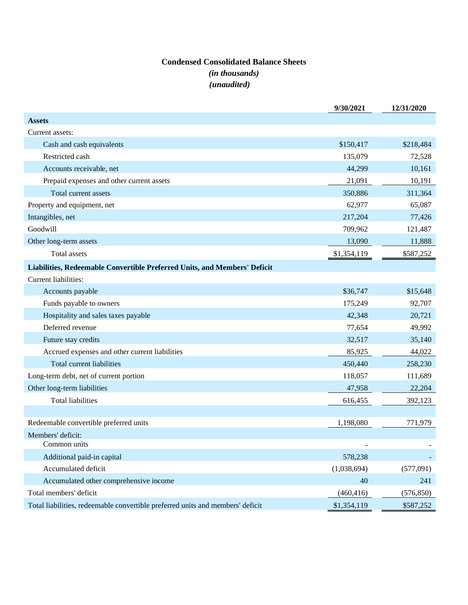# **Condensed Consolidated Balance Sheets** *(in thousands) (unaudited)*

|                                                                                | 9/30/2021   | 12/31/2020 |
|--------------------------------------------------------------------------------|-------------|------------|
| <b>Assets</b>                                                                  |             |            |
| Current assets:                                                                |             |            |
| Cash and cash equivalents                                                      | \$150,417   | \$218,484  |
| Restricted cash                                                                | 135,079     | 72,528     |
| Accounts receivable, net                                                       | 44,299      | 10,161     |
| Prepaid expenses and other current assets                                      | 21,091      | 10,191     |
| Total current assets                                                           | 350,886     | 311,364    |
| Property and equipment, net                                                    | 62,977      | 65,087     |
| Intangibles, net                                                               | 217,204     | 77,426     |
| Goodwill                                                                       | 709,962     | 121,487    |
| Other long-term assets                                                         | 13,090      | 11,888     |
| Total assets                                                                   | \$1,354,119 | \$587,252  |
| Liabilities, Redeemable Convertible Preferred Units, and Members' Deficit      |             |            |
| Current liabilities:                                                           |             |            |
| Accounts payable                                                               | \$36,747    | \$15,648   |
| Funds payable to owners                                                        | 175,249     | 92,707     |
| Hospitality and sales taxes payable                                            | 42,348      | 20,721     |
| Deferred revenue                                                               | 77,654      | 49,992     |
| Future stay credits                                                            | 32,517      | 35,140     |
| Accrued expenses and other current liabilities                                 | 85,925      | 44,022     |
| Total current liabilities                                                      | 450,440     | 258,230    |
| Long-term debt, net of current portion                                         | 118,057     | 111,689    |
| Other long-term liabilities                                                    | 47,958      | 22,204     |
| <b>Total liabilities</b>                                                       | 616,455     | 392,123    |
|                                                                                |             |            |
| Redeemable convertible preferred units                                         | 1,198,080   | 771,979    |
| Members' deficit:                                                              |             |            |
| Common units                                                                   |             |            |
| Additional paid-in capital                                                     | 578,238     |            |
| Accumulated deficit                                                            | (1,038,694) | (577,091)  |
| Accumulated other comprehensive income                                         | 40          | 241        |
| Total members' deficit                                                         | (460, 416)  | (576, 850) |
| Total liabilities, redeemable convertible preferred units and members' deficit | \$1,354,119 | \$587,252  |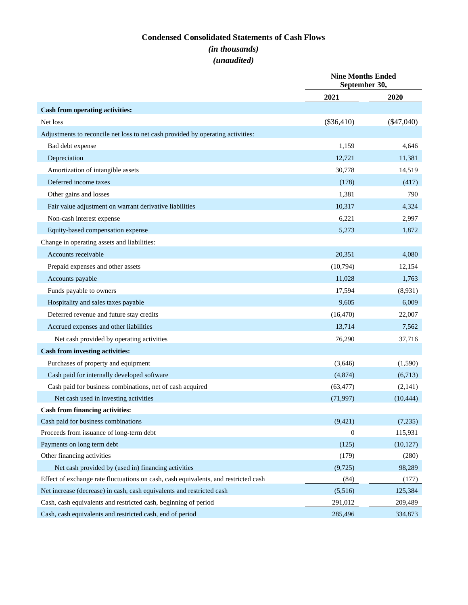## **Condensed Consolidated Statements of Cash Flows**

# *(in thousands)*

# *(unaudited)*

|                                                                                     | <b>Nine Months Ended</b><br>September 30, |              |
|-------------------------------------------------------------------------------------|-------------------------------------------|--------------|
|                                                                                     | 2021                                      | 2020         |
| <b>Cash from operating activities:</b>                                              |                                           |              |
| Net loss                                                                            | $(\$36,410)$                              | $(\$47,040)$ |
| Adjustments to reconcile net loss to net cash provided by operating activities:     |                                           |              |
| Bad debt expense                                                                    | 1,159                                     | 4,646        |
| Depreciation                                                                        | 12,721                                    | 11,381       |
| Amortization of intangible assets                                                   | 30,778                                    | 14,519       |
| Deferred income taxes                                                               | (178)                                     | (417)        |
| Other gains and losses                                                              | 1,381                                     | 790          |
| Fair value adjustment on warrant derivative liabilities                             | 10,317                                    | 4,324        |
| Non-cash interest expense                                                           | 6,221                                     | 2,997        |
| Equity-based compensation expense                                                   | 5,273                                     | 1,872        |
| Change in operating assets and liabilities:                                         |                                           |              |
| Accounts receivable                                                                 | 20,351                                    | 4,080        |
| Prepaid expenses and other assets                                                   | (10,794)                                  | 12,154       |
| Accounts payable                                                                    | 11,028                                    | 1,763        |
| Funds payable to owners                                                             | 17,594                                    | (8,931)      |
| Hospitality and sales taxes payable                                                 | 9,605                                     | 6,009        |
| Deferred revenue and future stay credits                                            | (16, 470)                                 | 22,007       |
| Accrued expenses and other liabilities                                              | 13,714                                    | 7,562        |
| Net cash provided by operating activities                                           | 76,290                                    | 37,716       |
| <b>Cash from investing activities:</b>                                              |                                           |              |
| Purchases of property and equipment                                                 | (3,646)                                   | (1,590)      |
| Cash paid for internally developed software                                         | (4,874)                                   | (6,713)      |
| Cash paid for business combinations, net of cash acquired                           | (63, 477)                                 | (2,141)      |
| Net cash used in investing activities                                               | (71, 997)                                 | (10, 444)    |
| <b>Cash from financing activities:</b>                                              |                                           |              |
| Cash paid for business combinations                                                 | (9, 421)                                  | (7,235)      |
| Proceeds from issuance of long-term debt                                            | $\boldsymbol{0}$                          | 115,931      |
| Payments on long term debt                                                          | (125)                                     | (10, 127)    |
| Other financing activities                                                          | (179)                                     | (280)        |
| Net cash provided by (used in) financing activities                                 | (9, 725)                                  | 98,289       |
| Effect of exchange rate fluctuations on cash, cash equivalents, and restricted cash | (84)                                      | (177)        |
| Net increase (decrease) in cash, cash equivalents and restricted cash               | (5,516)                                   | 125,384      |
| Cash, cash equivalents and restricted cash, beginning of period                     | 291,012                                   | 209,489      |
| Cash, cash equivalents and restricted cash, end of period                           | 285,496                                   | 334,873      |